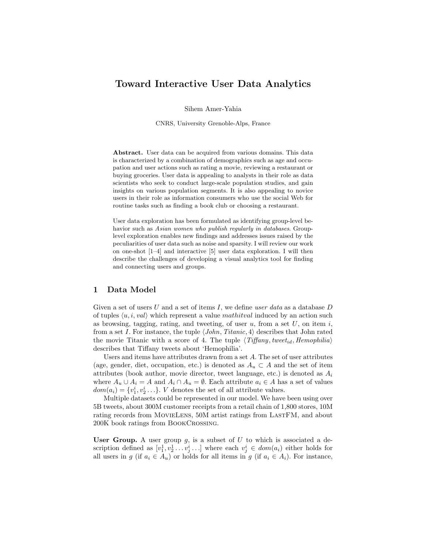# Toward Interactive User Data Analytics

Sihem Amer-Yahia

CNRS, University Grenoble-Alps, France

Abstract. User data can be acquired from various domains. This data is characterized by a combination of demographics such as age and occupation and user actions such as rating a movie, reviewing a restaurant or buying groceries. User data is appealing to analysts in their role as data scientists who seek to conduct large-scale population studies, and gain insights on various population segments. It is also appealing to novice users in their role as information consumers who use the social Web for routine tasks such as finding a book club or choosing a restaurant.

User data exploration has been formulated as identifying group-level behavior such as Asian women who publish regularly in databases. Grouplevel exploration enables new findings and addresses issues raised by the peculiarities of user data such as noise and sparsity. I will review our work on one-shot [1–4] and interactive [5] user data exploration. I will then describe the challenges of developing a visual analytics tool for finding and connecting users and groups.

### 1 Data Model

Given a set of users  $U$  and a set of items  $I$ , we define user data as a database  $D$ of tuples  $\langle u, i, val \rangle$  which represent a value mathitval induced by an action such as browsing, tagging, rating, and tweeting, of user  $u$ , from a set  $U$ , on item  $i$ , from a set I. For instance, the tuple  $\langle John, Titanic, 4 \rangle$  describes that John rated the movie Titanic with a score of 4. The tuple  $\langle Tiffany, tweet_{id}, Hemophilia \rangle$ describes that Tiffany tweets about 'Hemophilia'.

Users and items have attributes drawn from a set A. The set of user attributes (age, gender, diet, occupation, etc.) is denoted as  $A_u \subset A$  and the set of item attributes (book author, movie director, tweet language, etc.) is denoted as  $A_i$ where  $A_u \cup A_i = A$  and  $A_i \cap A_u = \emptyset$ . Each attribute  $a_i \in A$  has a set of values  $dom(a_i) = \{v_1^i, v_2^i \dots\}$ . V denotes the set of all attribute values.

Multiple datasets could be represented in our model. We have been using over 5B tweets, about 300M customer receipts from a retail chain of 1,800 stores, 10M rating records from MOVIELENS, 50M artist ratings from LASTFM, and about 200K book ratings from BookCrossing.

User Group. A user group  $g$ , is a subset of U to which is associated a description defined as  $[v_1^1, v_2^1 \dots v_j^i \dots]$  where each  $v_j^i \in dom(a_i)$  either holds for all users in g (if  $a_i \in A_u$ ) or holds for all items in g (if  $a_i \in A_i$ ). For instance,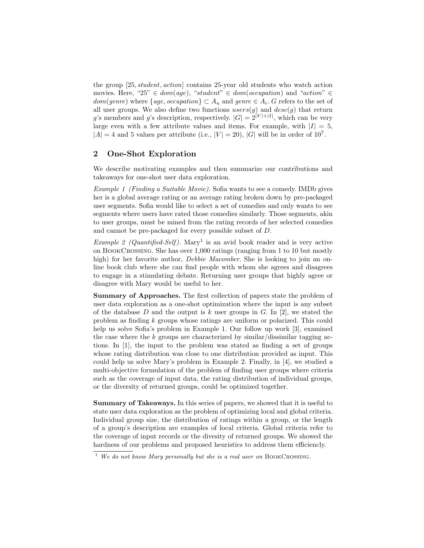the group [25, student, action] contains 25-year old students who watch action movies. Here, "25"  $\in dom(age)$ , "student"  $\in dom(occupation)$  and "action"  $\in$  $dom(genre)$  where  $\{age, occupation\} \subset A_u$  and  $gene \in A_i$ . G refers to the set of all user groups. We also define two functions  $users(g)$  and  $desc(g)$  that return g's members and g's description, respectively.  $|G| = 2^{|V|+|I|}$ , which can be very large even with a few attribute values and items. For example, with  $|I| = 5$ ,  $|A| = 4$  and 5 values per attribute (i.e.,  $|V| = 20$ ),  $|G|$  will be in order of  $10<sup>7</sup>$ .

### 2 One-Shot Exploration

We describe motivating examples and then summarize our contributions and takeaways for one-shot user data exploration.

Example 1 (Finding a Suitable Movie). Sofia wants to see a comedy. IMDb gives her is a global average rating or an average rating broken down by pre-packaged user segments. Sofia would like to select a set of comedies and only wants to see segments where users have rated those comedies similarly. Those segments, akin to user groups, must be mined from the rating records of her selected comedies and cannot be pre-packaged for every possible subset of D.

*Example 2 (Quantified-Self)*. Mary<sup>1</sup> is an avid book reader and is very active on BookCrossing. She has over 1,000 ratings (ranging from 1 to 10 but mostly high) for her favorite author, Debbie Macomber. She is looking to join an online book club where she can find people with whom she agrees and disagrees to engage in a stimulating debate. Returning user groups that highly agree or disagree with Mary would be useful to her.

Summary of Approaches. The first collection of papers state the problem of user data exploration as a one-shot optimization where the input is any subset of the database D and the output is k user groups in G. In [2], we stated the problem as finding k groups whose ratings are uniform or polarized. This could help us solve Sofia's problem in Example 1. Our follow up work [3], examined the case where the k groups are characterized by similar/dissimilar tagging actions. In [1], the input to the problem was stated as finding a set of groups whose rating distribution was close to one distribution provided as input. This could help us solve Mary's problem in Example 2. Finally, in [4], we studied a multi-objective formulation of the problem of finding user groups where criteria such as the coverage of input data, the rating distribution of individual groups, or the diversity of returned groups, could be optimized together.

Summary of Takeaways. In this series of papers, we showed that it is useful to state user data exploration as the problem of optimizing local and global criteria. Individual group size, the distribution of ratings within a group, or the length of a group's description are examples of local criteria. Global criteria refer to the coverage of input records or the divesity of returned groups. We showed the hardness of our problems and proposed heuristics to address them efficiencly.

 $1$  We do not know Mary personally but she is a real user on BOOKCROSSING.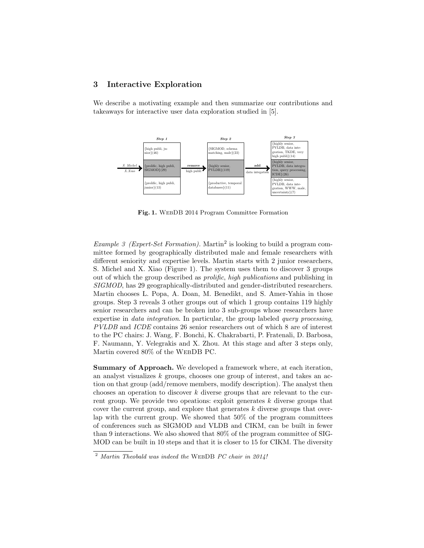## 3 Interactive Exploration

We describe a motivating example and then summarize our contributions and takeaways for interactive user data exploration studied in [5].



Fig. 1. WebDB 2014 Program Committee Formation

*Example 3 (Expert-Set Formation)*. Martin<sup>2</sup> is looking to build a program committee formed by geographically distributed male and female researchers with different seniority and expertise levels. Martin starts with 2 junior researchers, S. Michel and X. Xiao (Figure 1). The system uses them to discover 3 groups out of which the group described as prolific, high publications and publishing in SIGMOD, has 29 geographically-distributed and gender-distributed researchers. Martin chooses L. Popa, A. Doan, M. Benedikt, and S. Amer-Yahia in those groups. Step 3 reveals 3 other groups out of which 1 group contains 119 highly senior researchers and can be broken into 3 sub-groups whose researchers have expertise in data integration. In particular, the group labeled query processing, PVLDB and ICDE contains 26 senior researchers out of which 8 are of interest to the PC chairs: J. Wang, F. Bonchi, K. Chakrabarti, P. Fratenali, D. Barbosa, F. Naumann, Y. Velegrakis and X. Zhou. At this stage and after 3 steps only, Martin covered 80% of the WebDB PC.

Summary of Approach. We developed a framework where, at each iteration, an analyst visualizes k groups, chooses one group of interest, and takes an action on that group (add/remove members, modify description). The analyst then chooses an operation to discover  $k$  diverse groups that are relevant to the current group. We provide two opeations: exploit generates k diverse groups that cover the current group, and explore that generates k diverse groups that overlap with the current group. We showed that 50% of the program committees of conferences such as SIGMOD and VLDB and CIKM, can be built in fewer than 9 interactions. We also showed that 80% of the program committee of SIG-MOD can be built in 10 steps and that it is closer to 15 for CIKM. The diversity

 $2$  Martin Theobald was indeed the WEBDB PC chair in 2014!